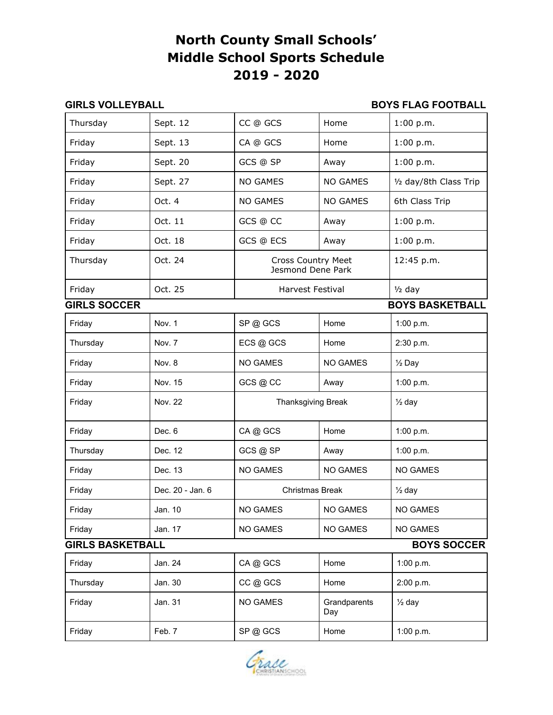# **North County Small Schools' Middle School Sports Schedule 2019 - 2020**

#### **GIRLS VOLLEYBALL BOYS FLAG FOOTBALL**

| Thursday                                      | Sept. 12         | CC @ GCS                                       | Home                | 1:00 p.m.              |  |
|-----------------------------------------------|------------------|------------------------------------------------|---------------------|------------------------|--|
| Friday                                        | Sept. 13         | CA @ GCS                                       | Home                | 1:00 p.m.              |  |
| Friday                                        | Sept. 20         | GCS @ SP                                       | Away                | 1:00 p.m.              |  |
| Friday                                        | Sept. 27         | <b>NO GAMES</b>                                | <b>NO GAMES</b>     | 1/2 day/8th Class Trip |  |
| Friday                                        | Oct. 4           | <b>NO GAMES</b>                                | <b>NO GAMES</b>     | 6th Class Trip         |  |
| Friday                                        | Oct. 11          | GCS @ CC                                       | Away                | 1:00 p.m.              |  |
| Friday                                        | Oct. 18          | GCS @ ECS                                      | Away                | 1:00 p.m.              |  |
| Thursday                                      | Oct. 24          | <b>Cross Country Meet</b><br>Jesmond Dene Park |                     | 12:45 p.m.             |  |
| Friday                                        | Oct. 25          | <b>Harvest Festival</b>                        |                     | $1/2$ day              |  |
| <b>GIRLS SOCCER</b><br><b>BOYS BASKETBALL</b> |                  |                                                |                     |                        |  |
| Friday                                        | Nov. 1           | SP@GCS                                         | Home                | 1:00 p.m.              |  |
| Thursday                                      | Nov. 7           | ECS @ GCS                                      | Home                | 2:30 p.m.              |  |
| Friday                                        | Nov. 8           | NO GAMES                                       | <b>NO GAMES</b>     | $\frac{1}{2}$ Day      |  |
| Friday                                        | Nov. 15          | GCS @ CC                                       | Away                | 1:00 p.m.              |  |
| Friday                                        | Nov. 22          | Thanksgiving Break                             |                     | $\frac{1}{2}$ day      |  |
| Friday                                        | Dec. 6           | CA@GCS                                         | Home                | 1:00 p.m.              |  |
| Thursday                                      | Dec. 12          | GCS @ SP                                       | Away                | 1:00 p.m.              |  |
| Friday                                        | Dec. 13          | <b>NO GAMES</b>                                | <b>NO GAMES</b>     | NO GAMES               |  |
| Friday                                        | Dec. 20 - Jan. 6 | <b>Christmas Break</b>                         |                     | $\frac{1}{2}$ day      |  |
| Friday                                        | Jan. 10          | <b>NO GAMES</b>                                | <b>NO GAMES</b>     | <b>NO GAMES</b>        |  |
| Friday                                        | Jan. 17          | NO GAMES                                       | NO GAMES            | NO GAMES               |  |
| <b>GIRLS BASKETBALL</b><br><b>BOYS SOCCER</b> |                  |                                                |                     |                        |  |
| Friday                                        | Jan. 24          | CA@GCS                                         | Home                | 1:00 p.m.              |  |
| Thursday                                      | Jan. 30          | CC @ GCS                                       | Home                | 2:00 p.m.              |  |
| Friday                                        | Jan. 31          | NO GAMES                                       | Grandparents<br>Day | $\frac{1}{2}$ day      |  |
| Friday                                        | Feb. 7           | SP@GCS                                         | Home                | 1:00 p.m.              |  |